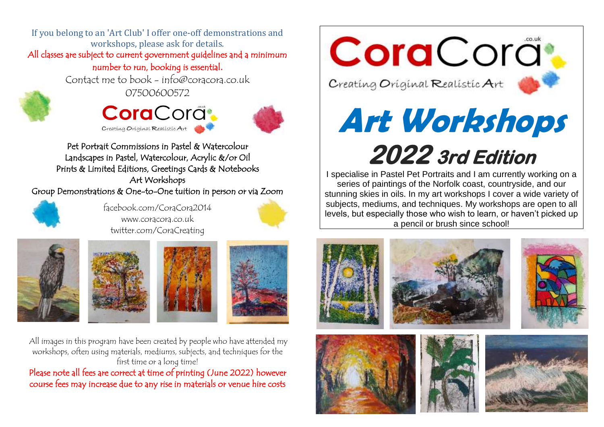If you belong to an 'Art Club' I offer one-off demonstrations and workshops, please ask for details. All classes are subject to current government guidelines and a minimum number to run, booking is essential.

Contact me to book - info@coracora.co.uk



07500600572





Pet Portrait Commissions in Pastel & Watercolour Landscapes in Pastel, Watercolour, Acrylic &/or Oil Prints & Limited Editions, Greetings Cards & Notebooks Art Workshops

Group Demonstrations & One-to-One tuition in person or via Zoom



facebook.com/CoraCora2014 www.coracora.co.uk twitter.com/CoraCreating









All images in this program have been created by people who have attended my workshops, often using materials, mediums, subjects, and techniques for the first time or a long time!

Please note all fees are correct at time of printing (June 2022) however course fees may increase due to any rise in materials or venue hire costs

CoraCora<sup>.</sup>

Creating Original Realistic Art



# **Art Workshops 2022 3rd Edition**

I specialise in Pastel Pet Portraits and I am currently working on a series of paintings of the Norfolk coast, countryside, and our stunning skies in oils. In my art workshops I cover a wide variety of subjects, mediums, and techniques. My workshops are open to all levels, but especially those who wish to learn, or haven't picked up a pencil or brush since school!









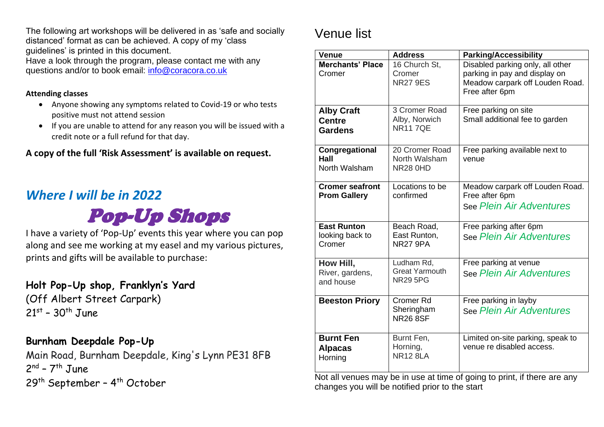The following art workshops will be delivered in as 'safe and socially distanced' format as can be achieved. A copy of my 'class guidelines' is printed in this document. Have a look through the program, please contact me with any

questions and/or to book email: [info@coracora.co.uk](mailto:info@coracora.co.uk)

#### **Attending classes**

- Anyone showing any symptoms related to Covid-19 or who tests positive must not attend session
- If you are unable to attend for any reason you will be issued with a credit note or a full refund for that day.

**A copy of the full 'Risk Assessment' is available on request.** 

### *Where I will be in 2022*

Pop-Up Shops

I have a variety of 'Pop-Up' events this year where you can pop along and see me working at my easel and my various pictures, prints and gifts will be available to purchase:

#### **Holt Pop-Up shop, Franklyn's Yard**

(Off Albert Street Carpark) 21<sup>st</sup> - 30<sup>th</sup> June

#### **Burnham Deepdale Pop-Up**

Main Road, Burnham Deepdale, King's Lynn PE31 8FB 2<sup>nd</sup> - 7<sup>th</sup> June 29<sup>th</sup> September - 4<sup>th</sup> October

### Venue list

| <b>Venue</b>                                         | <b>Address</b>                                         | <b>Parking/Accessibility</b>                                                                                           |
|------------------------------------------------------|--------------------------------------------------------|------------------------------------------------------------------------------------------------------------------------|
| <b>Merchants' Place</b><br>Cromer                    | 16 Church St,<br>Cromer<br><b>NR27 9ES</b>             | Disabled parking only, all other<br>parking in pay and display on<br>Meadow carpark off Louden Road.<br>Free after 6pm |
| <b>Alby Craft</b><br><b>Centre</b><br><b>Gardens</b> | 3 Cromer Road<br>Alby, Norwich<br><b>NR117QE</b>       | Free parking on site<br>Small additional fee to garden                                                                 |
| Congregational<br>Hall<br>North Walsham              | 20 Cromer Road<br>North Walsham<br><b>NR28 0HD</b>     | Free parking available next to<br>venue                                                                                |
| <b>Cromer seafront</b><br><b>Prom Gallery</b>        | Locations to be<br>confirmed                           | Meadow carpark off Louden Road.<br>Free after 6pm<br>See Plein Air Adventures                                          |
| <b>East Runton</b><br>looking back to<br>Cromer      | Beach Road,<br>East Runton,<br><b>NR27 9PA</b>         | Free parking after 6pm<br>See Plein Air Adventures                                                                     |
| How Hill,<br>River, gardens,<br>and house            | Ludham Rd,<br><b>Great Yarmouth</b><br><b>NR29 5PG</b> | Free parking at venue<br>See Plein Air Adventures                                                                      |
| <b>Beeston Priory</b>                                | <b>Cromer Rd</b><br>Sheringham<br><b>NR26 8SF</b>      | Free parking in layby<br>See Plein Air Adventures                                                                      |
| <b>Burnt Fen</b><br><b>Alpacas</b><br>Horning        | Burnt Fen,<br>Horning,<br><b>NR12 8LA</b>              | Limited on-site parking, speak to<br>venue re disabled access.                                                         |

Not all venues may be in use at time of going to print, if there are any changes you will be notified prior to the start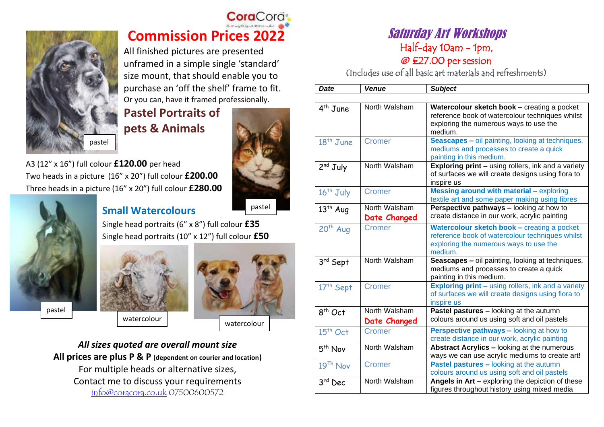

### **Cora**Cord **Commission Prices 2022**

All finished pictures are presented unframed in a simple single 'standard' size mount, that should enable you to purchase an 'off the shelf' frame to fit. Or you can, have it framed professionally.

**Pastel Portraits of pets & Animals** 



A3 (12" x 16") full colour **£120.00** per head Two heads in a picture (16" x 20") full colour **£200.00** Three heads in a picture (16" x 20") full colour **£280.00**



#### **Small Watercolours**

pastel

Single head portraits (6" x 8") full colour **£35** Single head portraits (10" x 12") full colour **£50**





*All sizes quoted are overall mount size* **All prices are plus P & P (dependent on courier and location)** For multiple heads or alternative sizes, Contact me to discuss your requirements [info@coracora.co.uk](mailto:info@coracora.co.uk) 07500600572

#### Saturday Art Workshops Half-day 10am - 1pm,

@ £27.00 per session

(Includes use of all basic art materials and refreshments)

| <b>Date</b>           | <b>Venue</b>                  | <b>Subject</b>                                                                                                                                      |
|-----------------------|-------------------------------|-----------------------------------------------------------------------------------------------------------------------------------------------------|
|                       |                               |                                                                                                                                                     |
| 4 <sup>th</sup> June  | North Walsham                 | Watercolour sketch book - creating a pocket<br>reference book of watercolour techniques whilst<br>exploring the numerous ways to use the<br>medium. |
| $18th$ June           | Cromer                        | <b>Seascapes - oil painting, looking at techniques,</b><br>mediums and processes to create a quick<br>painting in this medium.                      |
| $2nd$ July            | North Walsham                 | Exploring print - using rollers, ink and a variety<br>of surfaces we will create designs using flora to<br>inspire us                               |
| 16 <sup>th</sup> July | Cromer                        | <b>Messing around with material - exploring</b><br>textile art and some paper making using fibres                                                   |
| $13th$ Aug            | North Walsham<br>Date Changed | Perspective pathways - looking at how to<br>create distance in our work, acrylic painting                                                           |
| $20th$ Aug            | Cromer                        | Watercolour sketch book - creating a pocket<br>reference book of watercolour techniques whilst<br>exploring the numerous ways to use the<br>medium. |
| 3rd Sept              | North Walsham                 | Seascapes - oil painting, looking at techniques,<br>mediums and processes to create a quick<br>painting in this medium.                             |
| 17 <sup>th</sup> Sept | Cromer                        | <b>Exploring print - using rollers, ink and a variety</b><br>of surfaces we will create designs using flora to<br>inspire us                        |
| $8th$ Oct             | North Walsham<br>Date Changed | Pastel pastures - looking at the autumn<br>colours around us using soft and oil pastels                                                             |
| $15th$ Oct            | Cromer                        | <b>Perspective pathways - looking at how to</b><br>create distance in our work, acrylic painting                                                    |
| $5th$ Nov             | North Walsham                 | Abstract Acrylics - looking at the numerous<br>ways we can use acrylic mediums to create art!                                                       |
| 19 <sup>Th</sup> Nov  | Cromer                        | <b>Pastel pastures - looking at the autumn</b><br>colours around us using soft and oil pastels                                                      |
| 3rd Dec               | North Walsham                 | Angels in Art - exploring the depiction of these<br>figures throughout history using mixed media                                                    |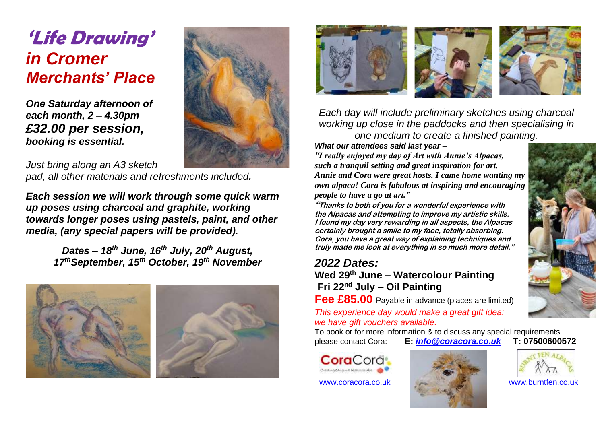# **'Life Drawing'**  *in Cromer Merchants' Place*

*One Saturday afternoon of each month, 2 – 4.30pm £32.00 per session, booking is essential.*



*Just bring along an A3 sketch pad, all other materials and refreshments included.*

*Each session we will work through some quick warm up poses using charcoal and graphite, working towards longer poses using pastels, paint, and other media, (any special papers will be provided).*

> *Dates – 18th June, 16th July, 20th August, 17thSeptember, 15th October, 19th November*





*Each day will include preliminary sketches using charcoal working up close in the paddocks and then specialising in one medium to create a finished painting.*

*What our attendees said last year –*

*"I really enjoyed my day of Art with Annie's Alpacas, such a tranquil setting and great inspiration for art. Annie and Cora were great hosts. I came home wanting my own alpaca! Cora is fabulous at inspiring and encouraging people to have a go at art."*

**"Thanks to both of you for a wonderful experience with the Alpacas and attempting to improve my artistic skills. I found my day very rewarding in all aspects, the Alpacas certainly brought a smile to my face, totally absorbing. Cora, you have a great way of explaining techniques and truly made me look at everything in so much more detail."**

#### *2022 Dates:*

**Wed 29th June – Watercolour Painting Fri 22nd July – Oil Painting**

**Fee £85.00** Payable in advance (places are limited)

*This experience day would make a great gift idea: we have gift vouchers available.*

To book or for more information & to discuss any special requirements please contact Cora: **E:** *[info@coracora.co.uk](mailto:info@coracora.co.uk)* **T: 07500600572**

**Cora**Cora Creating Original Realistic Art





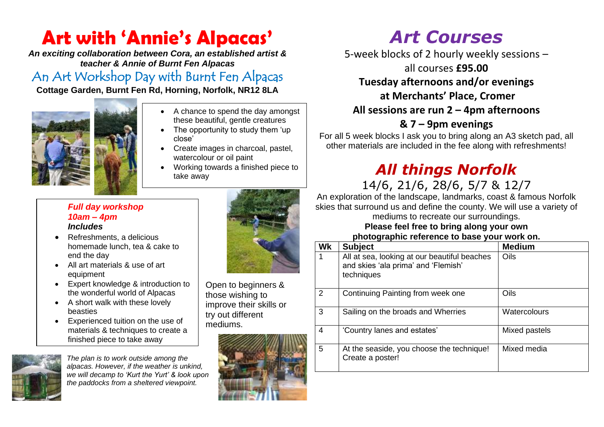# **Art with 'Annie's Alpacas'**

*An exciting collaboration between Cora, an established artist & teacher & Annie of Burnt Fen Alpacas*

An Art Workshop Day with Burnt Fen Alpacas

**Cottage Garden, Burnt Fen Rd, Horning, Norfolk, NR12 8LA**



- A chance to spend the day amongst these beautiful, gentle creatures
- The opportunity to study them 'up close'
- Create images in charcoal, pastel, watercolour or oil paint
- Working towards a finished piece to take away

#### *Full day workshop 10am – 4pm Includes*

- Refreshments, a delicious homemade lunch, tea & cake to end the day
- All art materials & use of art equipment
- Expert knowledge & introduction to the wonderful world of Alpacas
- A short walk with these lovely beasties
- Experienced tuition on the use of materials & techniques to create a finished piece to take away



*The plan is to work outside among the alpacas. However, if the weather is unkind, we will decamp to 'Kurt the Yurt' & look upon the paddocks from a sheltered viewpoint.*



Open to beginners & those wishing to improve their skills or try out different mediums.



# *Art Courses*

5-week blocks of 2 hourly weekly sessions –

all courses **£95.00**

### **Tuesday afternoons and/or evenings**

#### **at Merchants' Place, Cromer**

#### **All sessions are run 2 – 4pm afternoons**

### **& 7 – 9pm evenings**

For all 5 week blocks I ask you to bring along an A3 sketch pad, all other materials are included in the fee along with refreshments!

# *All things Norfolk*

14/6, 21/6, 28/6, 5/7 & 12/7

An exploration of the landscape, landmarks, coast & famous Norfolk skies that surround us and define the county. We will use a variety of

mediums to recreate our surroundings. **Please feel free to bring along your own** 

#### **photographic reference to base your work on.**

| Wk             | <b>Subject</b>                                                                                    | <b>Medium</b> |
|----------------|---------------------------------------------------------------------------------------------------|---------------|
|                | All at sea, looking at our beautiful beaches<br>and skies 'ala prima' and 'Flemish'<br>techniques | Oils          |
| $\overline{2}$ | Continuing Painting from week one                                                                 | Oils          |
| 3              | Sailing on the broads and Wherries                                                                | Watercolours  |
| 4              | 'Country lanes and estates'                                                                       | Mixed pastels |
| 5              | At the seaside, you choose the technique!<br>Create a poster!                                     | Mixed media   |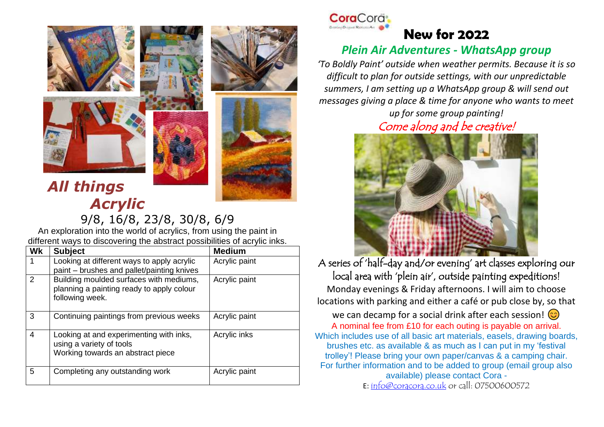





# *All things Acrylic*

9/8, 16/8, 23/8, 30/8, 6/9 An exploration into the world of acrylics, from using the paint in different ways to discovering the abstract possibilities of acrylic inks.

| <b>Wk</b> | <b>Subject</b>                                                                                           | <b>Medium</b> |
|-----------|----------------------------------------------------------------------------------------------------------|---------------|
|           | Looking at different ways to apply acrylic<br>paint - brushes and pallet/painting knives                 | Acrylic paint |
| 2         | Building moulded surfaces with mediums,<br>planning a painting ready to apply colour<br>following week.  | Acrylic paint |
| 3         | Continuing paintings from previous weeks                                                                 | Acrylic paint |
| 4         | Looking at and experimenting with inks,<br>using a variety of tools<br>Working towards an abstract piece | Acrylic inks  |
| 5         | Completing any outstanding work                                                                          | Acrylic paint |



#### **New for 2022** *Plein Air Adventures - WhatsApp group*

*'To Boldly Paint' outside when weather permits. Because it is so difficult to plan for outside settings, with our unpredictable summers, I am setting up a WhatsApp group & will send out messages giving a place & time for anyone who wants to meet up for some group painting!*

Come along and be creative!



A series of 'half-day and/or evening' art classes exploring our local area with 'plein air', outside painting expeditions! Monday evenings & Friday afternoons. I will aim to choose locations with parking and either a café or pub close by, so that we can decamp for a social drink after each session!  $\circled{c}$ A nominal fee from £10 for each outing is payable on arrival. Which includes use of all basic art materials, easels, drawing boards, brushes etc. as available & as much as I can put in my 'festival trolley'! Please bring your own paper/canvas & a camping chair. For further information and to be added to group (email group also available) please contact Cora - E: [info@coracora.co.uk](mailto:info@coracora.co.uk) or call: 07500600572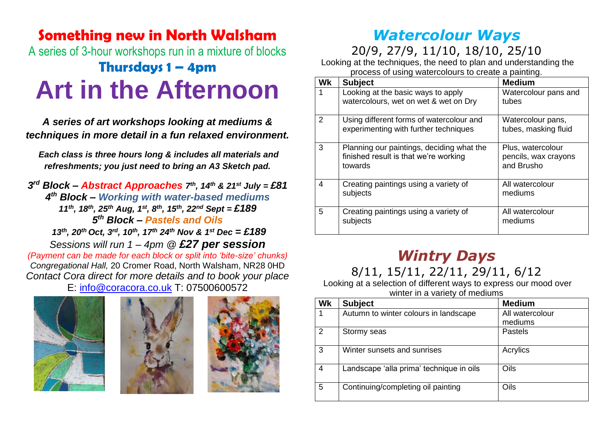# **Something new in North Walsham** A series of 3-hour workshops run in a mixture of blocks **Thursdays 1 – 4pm Art in the Afternoon**

*A series of art workshops looking at mediums & techniques in more detail in a fun relaxed environment.*

*Each class is three hours long & includes all materials and refreshments; you just need to bring an A3 Sketch pad.*

*3 rd Block – Abstract Approaches 7 th, 14th & 21st July = £81 4 th Block – Working with water-based mediums 11th, 18th, 25th Aug, 1st, 8th, 15th, 22nd Sept = £189 5 th Block – Pastels and Oils 13th , 20th Oct, 3rd, 10th, 17th 24th Nov & 1st Dec = £189 Sessions will run 1 – 4pm @ £27 per session (Payment can be made for each block or split into 'bite-size' chunks) Congregational Hall,* 20 Cromer Road, North Walsham, NR28 0HD *Contact Cora direct for more details and to book your place*

E: [info@coracora.co.uk](mailto:info@coracora.co.uk) T: 07500600572







### *Watercolour Ways*

20/9, 27/9, 11/10, 18/10, 25/10

Looking at the techniques, the need to plan and understanding the process of using watercolours to create a painting.

| Wk | <b>Subject</b>                                    | <b>Medium</b>                      |
|----|---------------------------------------------------|------------------------------------|
| 1  | Looking at the basic ways to apply                | Watercolour pans and               |
|    | watercolours, wet on wet & wet on Dry             | tubes                              |
| 2  | Using different forms of watercolour and          | Watercolour pans,                  |
|    | experimenting with further techniques             | tubes, masking fluid               |
| 3  | Planning our paintings, deciding what the         | Plus, watercolour                  |
|    | finished result is that we're working<br>towards  | pencils, wax crayons<br>and Brusho |
| 4  | Creating paintings using a variety of             | All watercolour                    |
|    | subjects                                          | mediums                            |
| 5  | Creating paintings using a variety of<br>subjects | All watercolour<br>mediums         |
|    |                                                   |                                    |

## *Wintry Days*

8/11, 15/11, 22/11, 29/11, 6/12

Looking at a selection of different ways to express our mood over winter in a variety of mediums

| Wk | <b>Subject</b>                           | <b>Medium</b>   |
|----|------------------------------------------|-----------------|
|    | Autumn to winter colours in landscape    | All watercolour |
|    |                                          | mediums         |
| 2  | Stormy seas                              | <b>Pastels</b>  |
| 3  | Winter sunsets and sunrises              | Acrylics        |
| 4  | Landscape 'alla prima' technique in oils | Oils            |
| 5  | Continuing/completing oil painting       | Oils            |